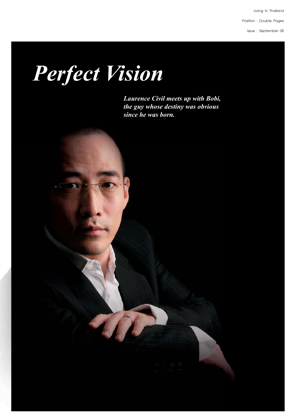Livina in Thailand

Position : Double Pages

Issue: September 08

## *Perfect Vision*

70

*Laurence Civil meets up with Bobi, the guy whose destiny was obvious since he was born.*